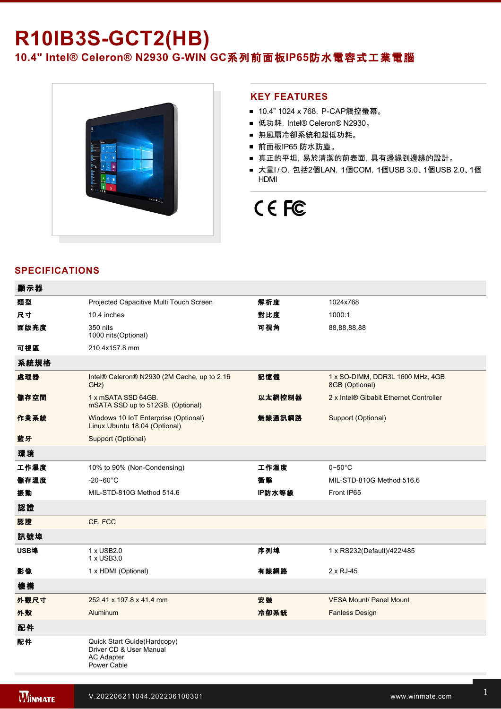## **R10IB3S-GCT2(HB)**

10.4" Intel® Celeron® N2930 G-WIN GC系列前面板IP65防水電容式工業電腦



### **KEY FEATURES**

- 10.4" 1024 x 768, P-CAP觸控螢幕。
- 低功耗, Intel® Celeron® N2930。
- 無風扇冷卻系統和超低功耗。
- 前面板IP65 防水防塵。
- 真正的平坦, 易於清潔的前表面, 具有邊緣到邊緣的設計。
- 大量I/O, 包括2個LAN, 1個COM, 1個USB 3.0、1個USB 2.0、1個 HDMI

# CE FC

## **SPECIFICATIONS**

| 顯示器  |                                                                                            |        |                                                    |
|------|--------------------------------------------------------------------------------------------|--------|----------------------------------------------------|
| 類型   | Projected Capacitive Multi Touch Screen                                                    | 解析度    | 1024x768                                           |
| 尺寸   | 10.4 inches                                                                                | 對比度    | 1000:1                                             |
| 面版亮度 | 350 nits<br>1000 nits (Optional)                                                           | 可視角    | 88,88,88,88                                        |
| 可視區  | 210.4x157.8 mm                                                                             |        |                                                    |
| 系統規格 |                                                                                            |        |                                                    |
| 處理器  | Intel® Celeron® N2930 (2M Cache, up to 2.16<br>GHz)                                        | 記憶體    | 1 x SO-DIMM, DDR3L 1600 MHz, 4GB<br>8GB (Optional) |
| 儲存空間 | 1 x mSATA SSD 64GB.<br>mSATA SSD up to 512GB. (Optional)                                   | 以太網控制器 | 2 x Intel® Gibabit Ethernet Controller             |
| 作業系統 | Windows 10 IoT Enterprise (Optional)<br>Linux Ubuntu 18.04 (Optional)                      | 無線通訊網路 | Support (Optional)                                 |
| 藍牙   | Support (Optional)                                                                         |        |                                                    |
| 環境   |                                                                                            |        |                                                    |
| 工作濕度 | 10% to 90% (Non-Condensing)                                                                | 工作溫度   | $0\neg 50^\circ C$                                 |
| 儲存溫度 | $-20 - 60^{\circ}$ C                                                                       | 衝擊     | MIL-STD-810G Method 516.6                          |
| 振動   | MIL-STD-810G Method 514.6                                                                  | IP防水等級 | Front IP65                                         |
| 認證   |                                                                                            |        |                                                    |
| 認證   | CE, FCC                                                                                    |        |                                                    |
| 訊號埠  |                                                                                            |        |                                                    |
| USB埠 | 1 x USB2.0<br>1 x USB3.0                                                                   | 序列埠    | 1 x RS232(Default)/422/485                         |
| 影像   | 1 x HDMI (Optional)                                                                        | 有線網路   | 2 x RJ-45                                          |
| 機構   |                                                                                            |        |                                                    |
| 外觀尺寸 | 252.41 x 197.8 x 41.4 mm                                                                   | 安装     | <b>VESA Mount/ Panel Mount</b>                     |
| 外殼   | Aluminum                                                                                   | 冷卻系統   | <b>Fanless Design</b>                              |
| 配件   |                                                                                            |        |                                                    |
| 配件   | Quick Start Guide(Hardcopy)<br>Driver CD & User Manual<br><b>AC Adapter</b><br>Power Cable |        |                                                    |

936V DC (Optional)